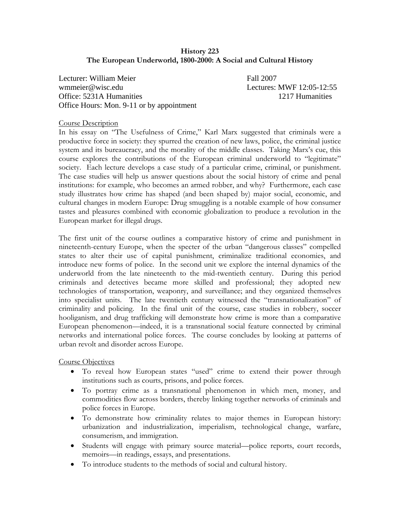# **History 223 The European Underworld, 1800-2000: A Social and Cultural History**

Lecturer: William Meier Fall 2007 wmmeier@wisc.edu Lectures: MWF 12:05-12:55 Office: 5231A Humanities 1217 Humanities Office Hours: Mon. 9-11 or by appointment

#### Course Description

In his essay on "The Usefulness of Crime," Karl Marx suggested that criminals were a productive force in society: they spurred the creation of new laws, police, the criminal justice system and its bureaucracy, and the morality of the middle classes. Taking Marx's cue, this course explores the contributions of the European criminal underworld to "legitimate" society. Each lecture develops a case study of a particular crime, criminal, or punishment. The case studies will help us answer questions about the social history of crime and penal institutions: for example, who becomes an armed robber, and why? Furthermore, each case study illustrates how crime has shaped (and been shaped by) major social, economic, and cultural changes in modern Europe: Drug smuggling is a notable example of how consumer tastes and pleasures combined with economic globalization to produce a revolution in the European market for illegal drugs.

The first unit of the course outlines a comparative history of crime and punishment in nineteenth-century Europe, when the specter of the urban "dangerous classes" compelled states to alter their use of capital punishment, criminalize traditional economies, and introduce new forms of police. In the second unit we explore the internal dynamics of the underworld from the late nineteenth to the mid-twentieth century. During this period criminals and detectives became more skilled and professional; they adopted new technologies of transportation, weaponry, and surveillance; and they organized themselves into specialist units. The late twentieth century witnessed the "transnationalization" of criminality and policing. In the final unit of the course, case studies in robbery, soccer hooliganism, and drug trafficking will demonstrate how crime is more than a comparative European phenomenon—indeed, it is a transnational social feature connected by criminal networks and international police forces. The course concludes by looking at patterns of urban revolt and disorder across Europe.

Course Objectives

- To reveal how European states "used" crime to extend their power through institutions such as courts, prisons, and police forces.
- To portray crime as a transnational phenomenon in which men, money, and commodities flow across borders, thereby linking together networks of criminals and police forces in Europe.
- To demonstrate how criminality relates to major themes in European history: urbanization and industrialization, imperialism, technological change, warfare, consumerism, and immigration.
- Students will engage with primary source material—police reports, court records, memoirs—in readings, essays, and presentations.
- To introduce students to the methods of social and cultural history.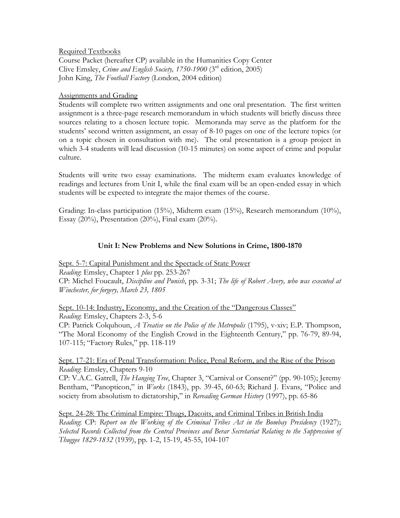Required Textbooks

Course Packet (hereafter CP) available in the Humanities Copy Center Clive Emsley, *Crime and English Society, 1750-1900* (3rd edition, 2005) John King, *The Football Factory* (London, 2004 edition)

#### Assignments and Grading

Students will complete two written assignments and one oral presentation. The first written assignment is a three-page research memorandum in which students will briefly discuss three sources relating to a chosen lecture topic. Memoranda may serve as the platform for the students' second written assignment, an essay of 8-10 pages on one of the lecture topics (or on a topic chosen in consultation with me). The oral presentation is a group project in which 3-4 students will lead discussion (10-15 minutes) on some aspect of crime and popular culture.

Students will write two essay examinations. The midterm exam evaluates knowledge of readings and lectures from Unit I, while the final exam will be an open-ended essay in which students will be expected to integrate the major themes of the course.

Grading: In-class participation (15%), Midterm exam (15%), Research memorandum (10%), Essay (20%), Presentation (20%), Final exam (20%).

# **Unit I: New Problems and New Solutions in Crime, 1800-1870**

Sept. 5-7: Capital Punishment and the Spectacle of State Power *Reading*: Emsley, Chapter 1 *plus* pp. 253-267 CP: Michel Foucault, *Discipline and Punish*, pp. 3-31; *The life of Robert Avery, who was executed at Winchester, for forgery, March 23, 1805*

Sept. 10-14: Industry, Economy, and the Creation of the "Dangerous Classes" *Reading*: Emsley, Chapters 2-3, 5-6 CP: Patrick Colquhoun, *A Treatise on the Police of the Metropolis* (1795), v-xiv; E.P. Thompson, "The Moral Economy of the English Crowd in the Eighteenth Century," pp. 76-79, 89-94, 107-115; "Factory Rules," pp. 118-119

Sept. 17-21: Era of Penal Transformation: Police, Penal Reform, and the Rise of the Prison *Reading*: Emsley, Chapters 9-10

CP: V.A.C. Gatrell, *The Hanging Tree*, Chapter 3, "Carnival or Consent?" (pp. 90-105); Jeremy Bentham, "Panopticon," in *Works* (1843), pp. 39-45, 60-63; Richard J. Evans, "Police and society from absolutism to dictatorship," in *Rereading German History* (1997), pp. 65-86

Sept. 24-28: The Criminal Empire: Thugs, Dacoits, and Criminal Tribes in British India *Reading*: CP: *Report on the Working of the Criminal Tribes Act in the Bombay Presidency* (1927); *Selected Records Collected from the Central Provinces and Berar Secretariat Relating to the Suppression of Thuggee 1829-1832* (1939), pp. 1-2, 15-19, 45-55, 104-107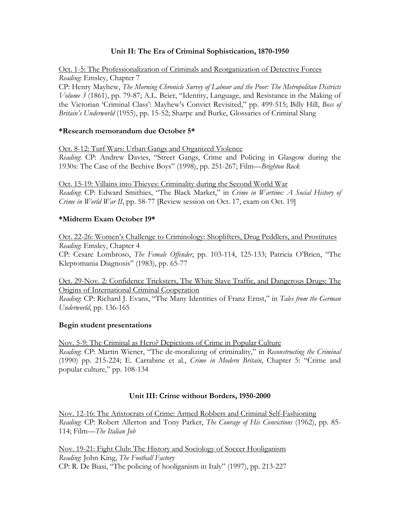# **Unit II: The Era of Criminal Sophistication, 1870-1950**

Oct. 1-5: The Professionalization of Criminals and Reorganization of Detective Forces *Reading*: Emsley, Chapter 7

CP: Henry Mayhew, *The Morning Chronicle Survey of Labour and the Poor: The Metropolitan Districts Volume 3* (1861), pp. 79-87; A.L. Beier, "Identity, Language, and Resistance in the Making of the Victorian 'Criminal Class': Mayhew's Convict Revisited," pp. 499-515; Billy Hill, *Boss of Britain's Underworld* (1955), pp. 15-52; Sharpe and Burke, Glossaries of Criminal Slang

#### **\*Research memorandum due October 5\***

Oct. 8-12: Turf Wars: Urban Gangs and Organized Violence

*Reading*: CP: Andrew Davies, "Street Gangs, Crime and Policing in Glasgow during the 1930s: The Case of the Beehive Boys" (1998), pp. 251-267; Film—*Brighton Rock*

Oct. 15-19: Villains into Thieves: Criminality during the Second World War *Reading*: CP: Edward Smithies, "The Black Market," in *Crime in Wartime: A Social History of Crime in World War II*, pp. 58-77 [Review session on Oct. 17, exam on Oct. 19]

# **\*Midterm Exam October 19\***

Oct. 22-26: Women's Challenge to Criminology: Shoplifters, Drug Peddlers, and Prostitutes *Reading*: Emsley, Chapter 4 CP: Cesare Lombroso, *The Female Offender*, pp. 103-114, 125-133; Patricia O'Brien, "The

Kleptomania Diagnosis" (1983), pp. 65-77

Oct. 29-Nov. 2: Confidence Tricksters, The White Slave Traffic, and Dangerous Drugs: The Origins of International Criminal Cooperation

*Reading*: CP: Richard J. Evans, "The Many Identities of Franz Ernst," in *Tales from the German Underworld*, pp. 136-165

# **Begin student presentations**

Nov. 5-9: The Criminal as Hero? Depictions of Crime in Popular Culture *Reading*: CP: Martin Wiener, "The de-moralizing of criminality," in *Reconstructing the Criminal* (1990) pp. 215-224; E. Carrabine et al., *Crime in Modern Britain*, Chapter 5: "Crime and popular culture," pp. 108-134

# **Unit III: Crime without Borders, 1950-2000**

Nov. 12-16: The Aristocrats of Crime: Armed Robbers and Criminal Self-Fashioning *Reading*: CP: Robert Allerton and Tony Parker, *The Courage of His Convictions* (1962), pp. 85- 114; Film—*The Italian Job*

Nov. 19-21: Fight Club: The History and Sociology of Soccer Hooliganism *Reading*: John King, *The Football Factory* CP: R. De Biasi, "The policing of hooliganism in Italy" (1997), pp. 213-227